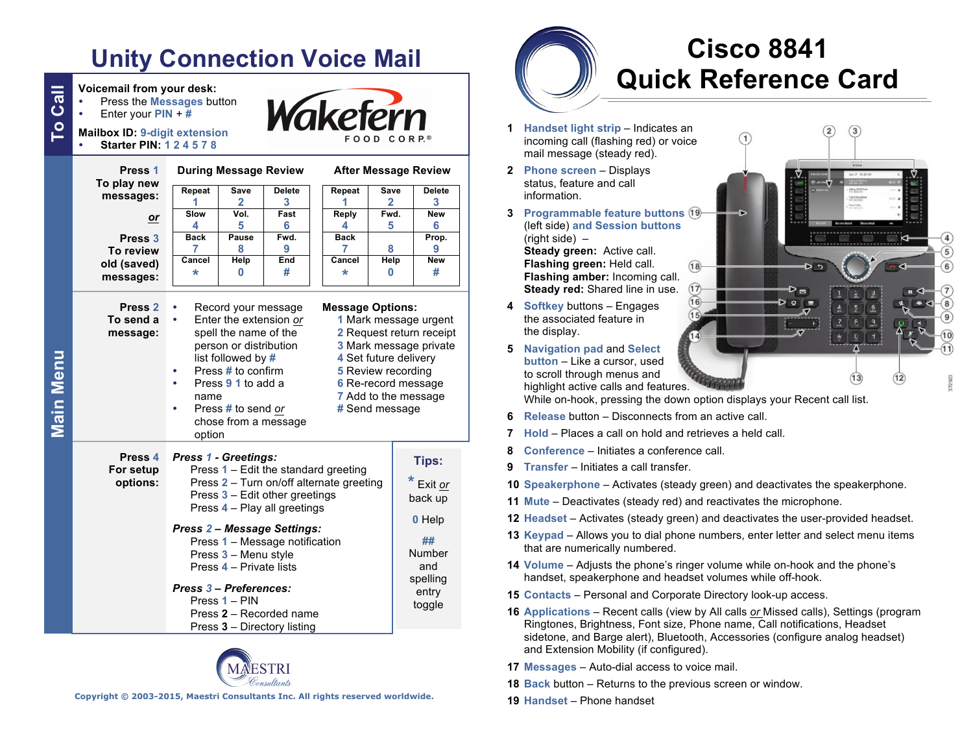# **Unity Connection Voice Mail**

| <b>Mailbox ID: 9-digit extension</b><br><b>Starter PIN: 124578</b><br>Press <sub>1</sub> | <b>During Message Review</b>                                                                                                                                                                                                                                                                                                                                        |                      |               | FOOD CORP.®<br><b>After Message Review</b> |                                                                                                                                                                                                             |                                                                     |
|------------------------------------------------------------------------------------------|---------------------------------------------------------------------------------------------------------------------------------------------------------------------------------------------------------------------------------------------------------------------------------------------------------------------------------------------------------------------|----------------------|---------------|--------------------------------------------|-------------------------------------------------------------------------------------------------------------------------------------------------------------------------------------------------------------|---------------------------------------------------------------------|
| To play new<br>messages:                                                                 | Repeat                                                                                                                                                                                                                                                                                                                                                              | <b>Save</b>          | <b>Delete</b> | Repeat                                     | <b>Save</b>                                                                                                                                                                                                 | <b>Delete</b>                                                       |
|                                                                                          | 1<br>Slow                                                                                                                                                                                                                                                                                                                                                           | $\mathbf{2}$<br>Vol. | 3<br>Fast     | 1<br>Reply                                 | 2<br>Fwd.                                                                                                                                                                                                   | 3<br><b>New</b>                                                     |
| or                                                                                       | 4                                                                                                                                                                                                                                                                                                                                                                   | 5                    | 6             | 4                                          | 5                                                                                                                                                                                                           | 6                                                                   |
| Press <sub>3</sub>                                                                       | <b>Back</b>                                                                                                                                                                                                                                                                                                                                                         | Pause                | Fwd.          | <b>Back</b>                                |                                                                                                                                                                                                             | Prop.                                                               |
| To review                                                                                | 7                                                                                                                                                                                                                                                                                                                                                                   | 8                    | 9<br>End      | 7                                          | 8                                                                                                                                                                                                           | 9<br><b>New</b>                                                     |
| old (saved)<br>messages:                                                                 | Cancel<br>*                                                                                                                                                                                                                                                                                                                                                         | Help<br>0            | #             | Cancel<br>$\star$                          | Help<br>$\bf{0}$                                                                                                                                                                                            | #                                                                   |
| Press <sub>2</sub><br>To send a<br>message:                                              | Record your message<br>Enter the extension or<br>spell the name of the<br>person or distribution<br>list followed by #<br>Press # to confirm<br>Press 9 1 to add a<br>٠<br>name                                                                                                                                                                                     |                      |               |                                            | <b>Message Options:</b><br>1 Mark message urgent<br>2 Request return receipt<br>3 Mark message private<br>4 Set future delivery<br><b>5</b> Review recording<br>6 Re-record message<br>7 Add to the message |                                                                     |
| Press <sub>4</sub><br>For setup<br>options:                                              | Press # to send or<br>chose from a message<br>option<br><b>Press 1 - Greetings:</b><br>Press 1 - Edit the standard greeting<br>Press 2 - Turn on/off alternate greeting<br>Press 3 - Edit other greetings<br>Press 4 - Play all greetings<br><b>Press 2- Message Settings:</b><br>Press 1 - Message notification<br>Press 3 - Menu style<br>Press 4 - Private lists |                      |               |                                            | # Send message                                                                                                                                                                                              | Tips:<br>Exit or<br>back up<br>0 Help<br>##<br><b>Number</b><br>and |
|                                                                                          | Press 3 - Preferences:<br>Press 1 – PIN<br>Press 2 - Recorded name<br>Press 3 - Directory listing                                                                                                                                                                                                                                                                   |                      |               |                                            |                                                                                                                                                                                                             | spelling<br>entry<br>toggle                                         |



**Copyright © 2003-2015, Maestri Consultants Inc. All rights reserved worldwide.**

# **Cisco 8841 Quick Reference Card**

 $(1)$ 

- **1 Handset light strip** Indicates an icoming call (flashing red) or voice ail message (steady red).
- **2 Phone screen** Displays tatus, feature and call iformation.
- **rogrammable feature buttons** (19) (left side) **and Session buttons**   $right side$ ) – **Steady green:** Active call. **Flashing green:** Held call.  $(18)$ **Flashing amber:** Incoming call. **Steady red:** Shared line in use.  $(17)$
- *A* oftkey buttons Engages he associated feature in e display.
- **5 Navigation pad** and **Select button** – Like a cursor, used o scroll through menus and ighlight active calls and features.

While on-hook, pressing the down option displays your Recent call list.

 $(16)$ 

- **6 Release** button Disconnects from an active call.
- *b***ld** Places a call on hold and retrieves a held call.
- **8 Conference** Initiates a conference call.
- **9 Transfer** Initiates a call transfer.
- **10 Speakerphone** Activates (steady green) and deactivates the speakerphone.
- **Iute** Deactivates (steady red) and reactivates the microphone.
- **12 Headset** Activates (steady green) and deactivates the user-provided headset.
- **13 Keypad** Allows you to dial phone numbers, enter letter and select menu items at are numerically numbered.
- **14 Volume** Adjusts the phone's ringer volume while on-hook and the phone's andset, speakerphone and headset volumes while off-hook.
- **15 Contacts** Personal and Corporate Directory look-up access.
- **16 Applications** Recent calls (view by All calls *or* Missed calls), Settings (program lingtones, Brightness, Font size, Phone name, Call notifications, Headset sidetone, and Barge alert), Bluetooth, Accessories (configure analog headset) and Extension Mobility (if configured).
- **17 Messages** Auto-dial access to voice mail.
- **18 Back** button Returns to the previous screen or window.
- **19 Handset** Phone handset

 $(13)$ 

 $\Omega$ 

**Main Menu**